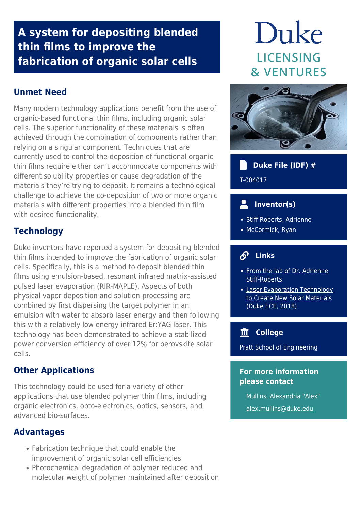# **A system for depositing blended thin films to improve the fabrication of organic solar cells**

# **Unmet Need**

Many modern technology applications benefit from the use of organic-based functional thin films, including organic solar cells. The superior functionality of these materials is often achieved through the combination of components rather than relying on a singular component. Techniques that are currently used to control the deposition of functional organic thin films require either can't accommodate components with different solubility properties or cause degradation of the materials they're trying to deposit. It remains a technological challenge to achieve the co-deposition of two or more organic materials with different properties into a blended thin film with desired functionality.

# **Technology**

Duke inventors have reported a system for depositing blended thin films intended to improve the fabrication of organic solar cells. Specifically, this is a method to deposit blended thin films using emulsion-based, resonant infrared matrix-assisted pulsed laser evaporation (RIR-MAPLE). Aspects of both physical vapor deposition and solution-processing are combined by first dispersing the target polymer in an emulsion with water to absorb laser energy and then following this with a relatively low energy infrared Er:YAG laser. This technology has been demonstrated to achieve a stabilized power conversion efficiency of over 12% for perovskite solar cells.

# **Other Applications**

This technology could be used for a variety of other applications that use blended polymer thin films, including organic electronics, opto-electronics, optics, sensors, and advanced bio-surfaces.

# **Advantages**

- Fabrication technique that could enable the improvement of organic solar cell efficiencies
- Photochemical degradation of polymer reduced and molecular weight of polymer maintained after deposition

# Duke **LICENSING & VENTURES**



## **Duke File (IDF) #** ۰ĥ

T-004017

# **Inventor(s)**

- Stiff-Roberts, Adrienne
- McCormick, Ryan

#### $\mathcal{S}$  **Links**

- [From the lab of Dr. Adrienne](http://stiffrobertslab.pratt.duke.edu/) [Stiff-Roberts](http://stiffrobertslab.pratt.duke.edu/)
- [Laser Evaporation Technology](https://ece.duke.edu/about/news/laser-evaporation-technology-create-new-solar-materials) [to Create New Solar Materials](https://ece.duke.edu/about/news/laser-evaporation-technology-create-new-solar-materials) [\(Duke ECE, 2018\)](https://ece.duke.edu/about/news/laser-evaporation-technology-create-new-solar-materials)

# **College**

Pratt School of Engineering

### **For more information please contact**

Mullins, Alexandria "Alex" [alex.mullins@duke.edu](mailto:alex.mullins@duke.edu)